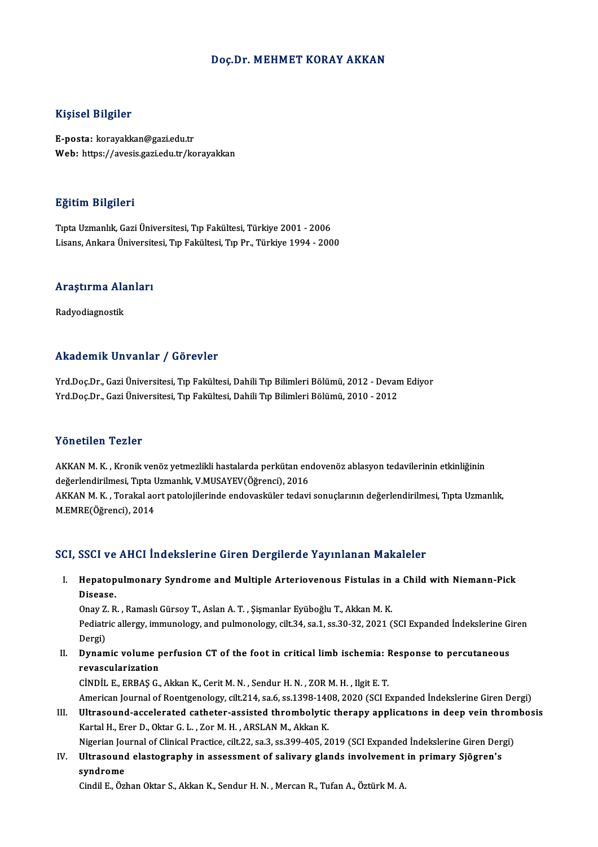#### Doç.Dr. MEHMET KORAY AKKAN

#### Kişisel Bilgiler

E-posta: korayakkan@gazi.edu.tr Web: https://avesis.gazi.edu.tr/korayakkan

#### Eğitim Bilgileri

TıptaUzmanlık,GaziÜniversitesi,Tıp Fakültesi,Türkiye 2001 -2006 Lisans, Ankara Üniversitesi, Tıp Fakültesi, Tıp Pr., Türkiye 1994 - 2000

### Lisans, Ankara Universiu<br>Araştırma Alanları <mark>Araştırma Ala</mark><br>Radyodiagnostik

## Akademik Unvanlar / Görevler

Yrd.Doç.Dr., Gazi Üniversitesi, Tıp Fakültesi, Dahili Tıp Bilimleri Bölümü, 2012 - Devam Ediyor Yrd.Doç.Dr., Gazi Üniversitesi, Tıp Fakültesi, Dahili Tıp Bilimleri Bölümü, 2010 - 2012

#### Yönetilen Tezler

Yönetilen Tezler<br>AKKAN M. K. , Kronik venöz yetmezlikli hastalarda perkütan endovenöz ablasyon tedavilerinin etkinliğinin<br>dağarlandirilmesi "Tipta Hamanlık, V.MUSAYEV(Öğrensi), 2016 1 SHSEHSH 1 SHSI<br>AKKAN M. K. , Kronik venöz yetmezlikli hastalarda perkütan en<br>değerlendirilmesi, Tıpta Uzmanlık, V.MUSAYEV(Öğrenci), 2016<br>AKKAN M. K. , Terekal sert natolejilerinde endevesküler tedevi değerlendirilmesi, Tıpta Uzmanlık, V.MUSAYEV(Öğrenci), 2016<br>AKKAN M. K. , Torakal aort patolojilerinde endovasküler tedavi sonuçlarının değerlendirilmesi, Tıpta Uzmanlık, M.EMRE(Öğrenci),2014

#### SCI, SSCI ve AHCI İndekslerine Giren Dergilerde Yayınlanan Makaleler

I. Hepatopulmonary Syndrome and Multiple Arteriovenous Fistulas in a Child with Niemann-Pick BBB1 ve<br>Hepatop<br>Disease. Hepatopulmonary Syndrome and Multiple Arteriovenous Fistulas in<br>Disease.<br>Onay Z. R. , Ramaslı Gürsoy T., Aslan A. T. , Şişmanlar Eyüboğlu T., Akkan M. K.<br>Pediatris allergy immunelegy and pulmonelegy silt 24, ss 1, ss 20, 2

Disease.<br>Onay Z. R. , Ramaslı Gürsoy T., Aslan A. T. , Şişmanlar Eyüboğlu T., Akkan M. K.<br>Pediatric allergy, immunology, and pulmonology, cilt.34, sa.1, ss.30-32, 2021 (SCI Expanded İndekslerine Giren<br>Dergi) Onay Z. R., Ramaslı Gürsoy T., Aslan A. T., Şişmanlar Eyüboğlu T., Akkan M. K. Pediatric allergy, immunology, and pulmonology, cilt.34, sa.1, ss.30-32, 2021 (SCI Expanded Indekslerine Gi<br>Dergi)<br>II. Dynamic volume perfusion CT of the foot in critical limb ischemia: Response to percutaneous<br>revesculari

Dergi)<br>Dynamic volume p<br>revascularization<br>Cinnit E EPPASC Dynamic volume perfusion CT of the foot in critical limb ischemia: I<br>revascularization<br>CİNDİL E., ERBAŞ G., Akkan K., Cerit M. N. , Sendur H. N. , ZOR M. H. , Ilgit E. T.<br>American Journal of Beentsonology, silt 214, se 6, revascularization<br>CİNDİL E., ERBAŞ G., Akkan K., Cerit M. N. , Sendur H. N. , ZOR M. H. , Ilgit E. T.<br>American Journal of Roentgenology, cilt.214, sa.6, ss.1398-1408, 2020 (SCI Expanded İndekslerine Giren Dergi)<br>Ultresound

CİNDİL E., ERBAŞ G., Akkan K., Cerit M. N., Sendur H. N., ZOR M. H., Ilgit E. T.<br>American Journal of Roentgenology, cilt.214, sa.6, ss.1398-1408, 2020 (SCI Expanded İndekslerine Giren Dergi)<br>III. Ultrasound-accelerated cat American Journal of Roentgenology, cilt.214, sa.6, ss.1398-140<br>Ultrasound-accelerated catheter-assisted thrombolytic<br>Kartal H., Erer D., Oktar G. L. , Zor M. H. , ARSLAN M., Akkan K.<br>Nigorian Journal of Clinical Practice, Ultrasound-accelerated catheter-assisted thrombolytic therapy applications in deep vein thrombosis<br>Kartal H., Erer D., Oktar G. L. , Zor M. H. , ARSLAN M., Akkan K.<br>Nigerian Journal of Clinical Practice, cilt.22, sa.3, ss. Kartal H., Erer D., Oktar G. L. , Zor M. H. , ARSLAN M., Akkan K.<br>Nigerian Journal of Clinical Practice, cilt.22, sa.3, ss.399-405, 2019 (SCI Expanded İndekslerine Giren Der;<br>IV. Ultrasound elastography in assessment of sa

Nigerian Jou<br><mark>Ultrasoun</mark><br>syndrome<br>Gindil E. Örl s**yndrome**<br>Cindil E., Özhan Oktar S., Akkan K., Sendur H. N. , Mercan R., Tufan A., Öztürk M. A.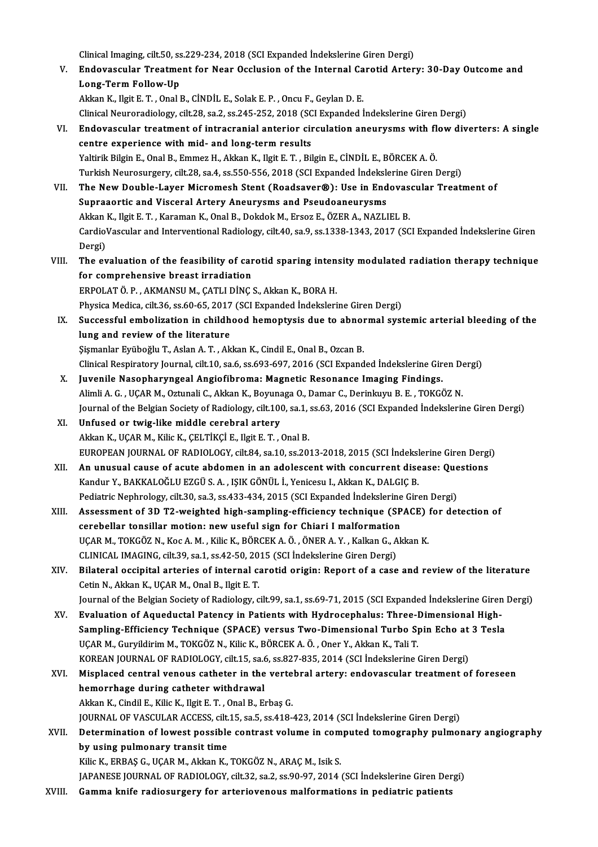Clinical Imaging, cilt.50, ss.229-234, 2018 (SCI Expanded İndekslerine Giren Dergi)<br>Endovesevler Treatment for Near Qaslusian of the Internal Canatid Arter

- V. Endovascular Treatment for Near Occlusion of the Internal Carotid Artery: 30-Day Outcome and Clinical Imaging, cilt.50, ss<br>Endovascular Treatme<br>Long-Term Follow-Up<br>Aldran K. Hait E.T. Opal I AkkanK., IlgitE.T. ,OnalB.,CİNDİL E.,SolakE.P. ,Oncu F.,GeylanD.E. Long-Term Follow-Up<br>Akkan K., Ilgit E. T. , Onal B., CİNDİL E., Solak E. P. , Oncu F., Geylan D. E.<br>Clinical Neuroradiology, cilt.28, sa.2, ss.245-252, 2018 (SCI Expanded İndekslerine Giren Dergi)<br>Endovascular treatment of Akkan K., Ilgit E. T. , Onal B., CINDIL E., Solak E. P. , Oncu F., Geylan D. E.<br>Clinical Neuroradiology, cilt.28, sa.2, ss.245-252, 2018 (SCI Expanded Indekslerine Giren Dergi)<br>VI. Endovascular treatment of intracranial an
- Clinical Neuroradiology, cilt.28, sa.2, ss.245-252, 2018 (SC)<br>Endovascular treatment of intracranial anterior circentre experience with mid- and long-term results<br>Valtinik Bilgin E. Opal B. Emmer H. Akkap K. Heit E.T., Bil Endovascular treatment of intracranial anterior circulation aneurysms with fl<br>centre experience with mid- and long-term results<br>Yaltirik Bilgin E., Onal B., Emmez H., Akkan K., Ilgit E. T. , Bilgin E., CİNDİL E., BÖRCEK A. centre experience with mid- and long-term results<br>Yaltirik Bilgin E., Onal B., Emmez H., Akkan K., Ilgit E. T. , Bilgin E., CİNDİL E., BÖRCEK A. Ö.<br>Turkish Neurosurgery, cilt.28, sa.4, ss.550-556, 2018 (SCI Expanded İndeks Yaltirik Bilgin E., Onal B., Emmez H., Akkan K., Ilgit E. T. , Bilgin E., CİNDİL E., BÖRCEK A. Ö.<br>Turkish Neurosurgery, cilt.28, sa.4, ss.550-556, 2018 (SCI Expanded İndekslerine Giren Dergi)<br>VII. The New Double-Layer Micr
- Turkish Neurosurgery, cilt.28, sa.4, ss.550-556, 2018 (SCI Expanded Indeksle<br>The New Double-Layer Micromesh Stent (Roadsaver®): Use in End<br>Supraaortic and Visceral Artery Aneurysms and Pseudoaneurysms<br>Akkan K. Hgit E.T., K The New Double-Layer Micromesh Stent (Roadsaver®): Use in Endovas<br>Supraaortic and Visceral Artery Aneurysms and Pseudoaneurysms<br>Akkan K., Ilgit E. T. , Karaman K., Onal B., Dokdok M., Ersoz E., ÖZER A., NAZLIEL B.<br>CardiaVa Supraaortic and Visceral Artery Aneurysms and Pseudoaneurysms<br>Akkan K., Ilgit E. T. , Karaman K., Onal B., Dokdok M., Ersoz E., ÖZER A., NAZLIEL B.<br>CardioVascular and Interventional Radiology, cilt.40, sa.9, ss.1338-1343, Akkan<br>Cardio<br>Dergi)<br>The ex CardioVascular and Interventional Radiology, cilt.40, sa.9, ss.1338-1343, 2017 (SCI Expanded Indekslerine Giren<br>Dergi)<br>VIII. The evaluation of the feasibility of carotid sparing intensity modulated radiation therapy techni
- Dergi)<br>The evaluation of the feasibility of car<br>for comprehensive breast irradiation<br>EPPOLATÖ B. AKMANSUM CATUDING The evaluation of the feasibility of carotid sparing inten<br>for comprehensive breast irradiation<br>ERPOLAT Ö. P., AKMANSU M., ÇATLI DİNÇ S., Akkan K., BORA H.<br>Physics Medice silt 26, sa 60, 65, 2017 (SCL Eunanded İndelseleri for comprehensive breast irradiation<br>ERPOLAT Ö. P. , AKMANSU M., ÇATLI DİNÇ S., Akkan K., BORA H.<br>Physica Medica, cilt.36, ss.60-65, 2017 (SCI Expanded İndekslerine Giren Dergi)

ERPOLAT Ö. P. , AKMANSU M., ÇATLI DİNÇ S., Akkan K., BORA H.<br>Physica Medica, cilt.36, ss.60-65, 2017 (SCI Expanded İndekslerine Giren Dergi)<br>IX. Successful embolization in childhood hemoptysis due to abnormal systemic arte Physica Medica, cilt.36, ss.60-65, 2017<br>Successful embolization in childh<br>lung and review of the literature<br>Sigmonlar Evikoğlu T. Aslan A.T. Ak Successful embolization in childhood hemoptysis due to abnor<br>lung and review of the literature<br>Şişmanlar Eyüboğlu T., Aslan A. T. , Akkan K., Cindil E., Onal B., Ozcan B.<br>Clinical Bespiratory Journal, silt 10, sa 6, sa 693 lung and review of the literature<br>Şişmanlar Eyüboğlu T., Aslan A. T. , Akkan K., Cindil E., Onal B., Ozcan B.<br>Clinical Respiratory Journal, cilt.10, sa.6, ss.693-697, 2016 (SCI Expanded İndekslerine Giren Dergi)

- Sismanlar Eyüboğlu T., Aslan A. T. , Akkan K., Cindil E., Onal B., Ozcan B.<br>Clinical Respiratory Journal, cilt.10, sa.6, ss.693-697, 2016 (SCI Expanded İndekslerine Gir<br>X. Juvenile Nasopharyngeal Angiofibroma: Magnetic Res Clinical Respiratory Journal, cilt.10, sa.6, ss.693-697, 2016 (SCI Expanded Indekslerine Giren De<br>Juvenile Nasopharyngeal Angiofibroma: Magnetic Resonance Imaging Findings.<br>Alimli A. G. , UÇAR M., Oztunali C., Akkan K., Bo Juvenile Nasopharyngeal Angiofibroma: Magnetic Resonance Imaging Findings.<br>Alimli A. G. , UÇAR M., Oztunali C., Akkan K., Boyunaga O., Damar C., Derinkuyu B. E. , TOKGÖZ N.<br>Journal of the Belgian Society of Radiology, cilt Alimli A. G. , UÇAR M., Oztunali C., Akkan K., Boyunaga O., Damar C., Derinkuyu B. E. , TOKGÖZ N.<br>Journal of the Belgian Society of Radiology, cilt.100, sa.1, ss.63, 2016 (SCI Expanded Indekslerin<br>XI. Unfused or twig-like
- Journal of the Belgian Society of Radiology, cilt.100, sa.1,<br>Unfused or twig-like middle cerebral artery<br>Akkan K., UÇAR M., Kilic K., ÇELTİKÇİ E., Ilgit E. T. , Onal B.<br>EUROPEAN JOURNAL OF RADJOLOCY, silt 84, sa.10, ss.30. EUROPEAN JOURNAL OF RADIOLOGY, cilt.84, sa.10, ss.2013-2018, 2015 (SCI İndekslerine Giren Dergi) Akkan K., UÇAR M., Kilic K., ÇELTİKÇİ E., Ilgit E. T. , Onal B.<br>EUROPEAN JOURNAL OF RADIOLOGY, cilt.84, sa.10, ss.2013-2018, 2015 (SCI İndekslerine Giren Dergi<br>XII. An unusual cause of acute abdomen in an adolescent with c
- EUROPEAN JOURNAL OF RADIOLOGY, cilt.84, sa.10, ss.2013-2018, 2015 (SCI İndeksl<br>An unusual cause of acute abdomen in an adolescent with concurrent dise<br>Kandur Y., BAKKALOĞLU EZGÜ S. A. , IŞIK GÖNÜL İ., Yenicesu I., Akkan K. An unusual cause of acute abdomen in an adolescent with concurrent disease: Que<br>Kandur Y., BAKKALOĞLU EZGÜ S. A. , IŞIK GÖNÜL İ., Yenicesu I., Akkan K., DALGIÇ B.<br>Pediatric Nephrology, cilt.30, sa.3, ss.433-434, 2015 (SCI Kandur Y., BAKKALOĞLU EZGÜ S. A. , IŞIK GÖNÜL İ., Yenicesu I., Akkan K., DALGIÇ B.<br>Pediatric Nephrology, cilt.30, sa.3, ss.433-434, 2015 (SCI Expanded İndekslerine Giren Dergi)<br>XIII. Assessment of 3D T2-weighted high-sampl
- Pediatric Nephrology, cilt.30, sa.3, ss.433-434, 2015 (SCI Expanded Indekslerine<br>Assessment of 3D T2-weighted high-sampling-efficiency technique (SP<br>cerebellar tonsillar motion: new useful sign for Chiari I malformation<br>UC Assessment of 3D T2-weighted high-sampling-efficiency technique (SPACE)<br>cerebellar tonsillar motion: new useful sign for Chiari I malformation<br>UÇAR M., TOKGÖZ N., Koc A. M., Kilic K., BÖRCEK A. Ö., ÖNER A. Y., Kalkan G., A cerebellar tonsillar motion: new useful sign for Chiari I malformation<br>UCAR M., TOKGÖZ N., Koc A. M., Kilic K., BÖRCEK A. Ö., ÖNER A. Y., Kalkan G., Akkan K. CLINICAL IMAGING, cilt.39, sa.1, ss.42-50, 2015 (SCI Indekslerine Giren Dergi)
- XIV. Bilateral occipital arteries of internal carotid origin: Report of a case and review of the literature Cetin N., Akkan K., UCAR M., Onal B., Ilgit E. T. Bilateral occipital arteries of internal carotid origin: Report of a case and review of the literature<br>Cetin N., Akkan K., UÇAR M., Onal B., Ilgit E. T.<br>Journal of the Belgian Society of Radiology, cilt.99, sa.1, ss.69-71, Cetin N., Akkan K., UÇAR M., Onal B., Ilgit E. T.<br>Journal of the Belgian Society of Radiology, cilt.99, sa.1, ss.69-71, 2015 (SCI Expanded Indekslerine Girer<br>XV. Evaluation of Aqueductal Patency in Patients with Hydroc
- Journal of the Belgian Society of Radiology, cilt.99, sa.1, ss.69-71, 2015 (SCI Expanded Indekslerine Giren<br>Evaluation of Aqueductal Patency in Patients with Hydrocephalus: Three-Dimensional High-<br>Sampling-Efficiency Techn XV. Evaluation of Aqueductal Patency in Patients with Hydrocephalus: Three-Dimensional High-<br>Sampling-Efficiency Technique (SPACE) versus Two-Dimensional Turbo Spin Echo at 3 Tesla<br>UÇAR M., Guryildirim M., TOKGÖZ N., Kilic Sampling-Efficiency Technique (SPACE) versus Two-Dimensional Turbo Spin Echo at<br>UÇAR M., Guryildirim M., TOKGÖZ N., Kilic K., BÖRCEK A. Ö. , Oner Y., Akkan K., Tali T.<br>KOREAN JOURNAL OF RADIOLOGY, cilt.15, sa.6, ss.827-835 UÇAR M., Guryildirim M., TOKGÖZ N., Kilic K., BÖRCEK A. Ö. , Oner Y., Akkan K., Tali T.<br>KOREAN JOURNAL OF RADIOLOGY, cilt.15, sa.6, ss.827-835, 2014 (SCI İndekslerine Giren Dergi)<br>XVI. Misplaced central venous catheter in
- KOREAN JOURNAL OF RADIOLOGY, cilt.15, sa.6<br>Misplaced central venous catheter in the<br>hemorrhage during catheter withdrawal<br>Aldra K. Giadil E. Kilie K. Heit E.T. Opel B. E. Misplaced central venous catheter in the verte<br>hemorrhage during catheter withdrawal<br>Akkan K., Cindil E., Kilic K., Ilgit E. T. , Onal B., Erbaş G.<br>JOUPMAL OF VASCULAR ACCESS silt 15, 30 5, 30,419 hemorrhage during catheter withdrawal<br>Akkan K., Cindil E., Kilic K., Ilgit E. T. , Onal B., Erbaş G.<br>JOURNAL OF VASCULAR ACCESS, cilt.15, sa.5, ss.418-423, 2014 (SCI İndekslerine Giren Dergi)<br>Determination of lowest possib Akkan K., Cindil E., Kilic K., Ilgit E. T. , Onal B., Erbaş G.<br>JOURNAL OF VASCULAR ACCESS, cilt.15, sa.5, ss.418-423, 2014 (SCI İndekslerine Giren Dergi)<br>XVII. Determination of lowest possible contrast volume in comput
- **JOURNAL OF VASCULAR ACCESS, cilt.<br>Determination of lowest possible<br>by using pulmonary transit time** Determination of lowest possible contrast volume in com<br>by using pulmonary transit time<br>Kilic K., ERBAŞ G., UÇAR M., Akkan K., TOKGÖZ N., ARAÇ M., Isik S.<br>JARANESE JOURNAL OF PADJOLOCY silt 22.82.2590.97.2014 by using pulmonary transit time<br>Kilic K., ERBAŞ G., UÇAR M., Akkan K., TOKGÖZ N., ARAÇ M., Isik S.<br>JAPANESE JOURNAL OF RADIOLOGY, cilt.32, sa.2, ss.90-97, 2014 (SCI İndekslerine Giren Dergi)
- 
- XVIII. Gamma knife radiosurgery for arteriovenous malformations in pediatric patients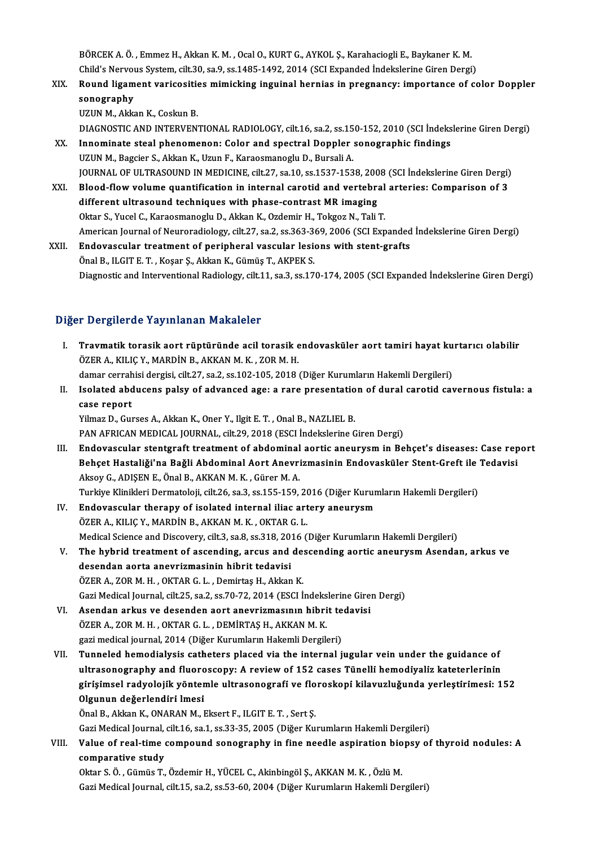BÖRCEK A. Ö. , Emmez H., Akkan K. M. , Ocal O., KURT G., AYKOL Ş., Karahaciogli E., Baykaner K. M.<br>Child'e Newwy System, silt 30, sa 9, sa 1485-1493-2014 (SCI Evnanded indekslerine Ciren Dergi BÖRCEK A. Ö. , Emmez H., Akkan K. M. , Ocal O., KURT G., AYKOL Ş., Karahaciogli E., Baykaner K. M.<br>Child's Nervous System, cilt.30, sa.9, ss.1485-1492, 2014 (SCI Expanded İndekslerine Giren Dergi)<br>Round Jissment verisesiti BÖRCEK A. Ö. , Emmez H., Akkan K. M. , Ocal O., KURT G., AYKOL Ş., Karahaciogli E., Baykaner K. M.<br>Child's Nervous System, cilt.30, sa.9, ss.1485-1492, 2014 (SCI Expanded Indekslerine Giren Dergi)<br>XIX. Round ligament v

- Child's Nervous System, cilt.30, sa.9, ss.1485-1492, 2014 (SCI Expanded Indekslerine Giren Dergi)<br>Round ligament varicosities mimicking inguinal hernias in pregnancy: importance of color Doppler<br>sonography
	- UZUN M., Akkan K., Coskun B.

DIAGNOSTIC AND INTERVENTIONAL RADIOLOGY, cilt.16, sa.2, ss.150-152, 2010 (SCI İndekslerine Giren Dergi)

- UZUN M., Akkan K., Coskun B.<br>DIAGNOSTIC AND INTERVENTIONAL RADIOLOGY, cilt.16, sa.2, ss.150-152, 2010 (SCI Indeks<br>XX. Innominate steal phenomenon: Color and spectral Doppler sonographic findings<br>UZUN M. Baggior S. Akkan K. DIAGNOSTIC AND INTERVENTIONAL RADIOLOGY, cilt.16, sa.2, ss.15<br>Innominate steal phenomenon: Color and spectral Doppler<br>UZUN M., Bagcier S., Akkan K., Uzun F., Karaosmanoglu D., Bursali A.<br>JOUPNAL OF ULTPASOUND IN MEDICINE s UZUN M., Bagcier S., Akkan K., Uzun F., Karaosmanoglu D., Bursali A.<br>JOURNAL OF ULTRASOUND IN MEDICINE, cilt.27, sa.10, ss.1537-1538, 2008 (SCI İndekslerine Giren Dergi) UZUN M., Bagcier S., Akkan K., Uzun F., Karaosmanoglu D., Bursali A.<br>JOURNAL OF ULTRASOUND IN MEDICINE, cilt.27, sa.10, ss.1537-1538, 2008 (SCI İndekslerine Giren Dergi)<br>XXI. Blood-flow volume quantification in internal ca
- JOURNAL OF ULTRASOUND IN MEDICINE, cilt.27, sa.10, ss.1537-1538, 200<br>Blood-flow volume quantification in internal carotid and vertebra<br>different ultrasound techniques with phase-contrast MR imaging<br>Oltar S. Yusel G. Karasa Blood-flow volume quantification in internal carotid and vertebral<br>different ultrasound techniques with phase-contrast MR imaging<br>Oktar S., Yucel C., Karaosmanoglu D., Akkan K., Ozdemir H., Tokgoz N., Tali T.<br>American Jour different ultrasound techniques with phase-contrast MR imaging<br>Oktar S., Yucel C., Karaosmanoglu D., Akkan K., Ozdemir H., Tokgoz N., Tali T.<br>American Journal of Neuroradiology, cilt.27, sa.2, ss.363-369, 2006 (SCI Expande Oktar S., Yucel C., Karaosmanoglu D., Akkan K., Ozdemir H., Tokgoz N., Tali T.<br>American Journal of Neuroradiology, cilt.27, sa.2, ss.363-369, 2006 (SCI Expanded<br>XXII. Endovascular treatment of peripheral vascular lesions w
- American Journal of Neuroradiology, cilt.27, sa.2, ss.363-3<br>**Endovascular treatment of peripheral vascular lesi**<br>Önal B., ILGIT E. T. , Koşar Ş., Akkan K., Gümüş T., AKPEK S.<br>Disgrestie and Interventional Bedielegy, silt 1 Önal B., ILGIT E. T. , Koşar Ş., Akkan K., Gümüş T., AKPEK S.<br>Diagnostic and Interventional Radiology, cilt.11, sa.3, ss.170-174, 2005 (SCI Expanded İndekslerine Giren Dergi)

#### Diğer Dergilerde Yayınlanan Makaleler

- Iğer Dergilerde Yayınlanan Makaleler<br>I. Travmatik torasik aort rüptüründe acil torasik endovasküler aort tamiri hayat kurtarıcı olabilir<br>ÖZEP A. KUJC V. MARDİN R. AKKAN M.K. ZOR M.H Tə əsi gildi də Tay imanan Frandrotesi<br>Travmatik torasik aort rüptüründe acil torasik e<br>ÖZER A., KILIÇ Y., MARDİN B., AKKAN M. K. , ZOR M. H. Travmatik torasik aort rüptüründe acil torasik endovasküler aort tamiri hayat ku<br>ÖZER A., KILIÇ Y., MARDİN B., AKKAN M. K. , ZOR M. H.<br>damar cerrahisi dergisi, cilt.27, sa.2, ss.102-105, 2018 (Diğer Kurumların Hakemli Derg ÖZER A., KILIÇ Y., MARDİN B., AKKAN M. K. , ZOR M. H.<br>damar cerrahisi dergisi, cilt.27, sa.2, ss.102-105, 2018 (Diğer Kurumların Hakemli Dergileri)<br>II. Isolated abducens palsy of advanced age: a rare presentation of du
- damar cerrah<br>Isolated abd<br>case report<br><sup>Vilmaz D.</sup> Cu case report<br>Yilmaz D., Gurses A., Akkan K., Oner Y., Ilgit E. T. , Onal B., NAZLIEL B.

PAN AFRICAN MEDICAL JOURNAL, cilt.29, 2018 (ESCI İndekslerine Giren Dergi)

- III. Endovascular stentgraft treatment of abdominal aortic aneurysm in Behçet's diseases: Case report PAN AFRICAN MEDICAL JOURNAL, cilt.29, 2018 (ESCI İndekslerine Giren Dergi)<br>Endovascular stentgraft treatment of abdominal aortic aneurysm in Behçet's diseases: Case rep<br>Behçet Hastaliği'na Bağli Abdominal Aort Anevrizmasin Aksoy G., ADIŞEN E., Önal B., AKKAN M. K., Gürer M. A. Behçet Hastaliği'na Bağli Abdominal Aort Anevrizmasinin Endovasküler Stent-Greft ile<br>Aksoy G., ADIŞEN E., Önal B., AKKAN M. K. , Gürer M. A.<br>Turkiye Klinikleri Dermatoloji, cilt.26, sa.3, ss.155-159, 2016 (Diğer Kurumların Turkiye Klinikleri Dermatoloji, cilt.26, sa.3, ss.155-159, 2016 (Diğer Kurumların Hakemli Dergileri)
- IV. Endovascular therapy of isolated internal iliac artery aneurysm Medical Science and Discovery, cilt.3, sa.8, ss.318, 2016 (Diğer Kurumların Hakemli Dergileri) ÖZER A., KILIÇ Y., MARDİN B., AKKAN M. K. , OKTAR G. L.<br>Medical Science and Discovery, cilt.3, sa.8, ss.318, 2016 (Diğer Kurumların Hakemli Dergileri)<br>V. The hybrid treatment of ascending, arcus and descending aortic a
- Medical Science and Discovery, cilt.3, sa.8, ss.318, 20<br>The hybrid treatment of ascending, arcus and<br>desendan aorta anevrizmasinin hibrit tedavisi<br>ÖZEP A, ZOP M, H., OKTAP C, L., Domirtas H., Aldran The hybrid treatment of ascending, arcus and des<br>desendan aorta anevrizmasinin hibrit tedavisi<br>ÖZER A., ZOR M. H. , OKTAR G. L. , Demirtaş H., Akkan K.<br>Cari Medical Journal silt 25, sa 2, sa 70, 72, 2014 (ESCL) desendan aorta anevrizmasinin hibrit tedavisi<br>ÖZER A., ZOR M. H. , OKTAR G. L. , Demirtaş H., Akkan K.<br>Gazi Medical Journal, cilt.25, sa.2, ss.70-72, 2014 (ESCI İndekslerine Giren Dergi)
- VI. Asendan arkus ve desenden aort anevrizmasının hibrit tedavisi Gazi Medical Journal, cilt.25, sa.2, ss.70-72, 2014 (ESCI İndeks<br>Asendan arkus ve desenden aort anevrizmasının hibri<br>ÖZER A., ZOR M. H. , OKTAR G. L. , DEMİRTAŞ H., AKKAN M. K.<br>sari medical journal 2014 (Dižer Kurumların H Asendan arkus ve desenden aort anevrizmasının hibrit te<br>ÖZER A., ZOR M. H. , OKTAR G. L. , DEMİRTAŞ H., AKKAN M. K.<br>gazi medical journal, 2014 (Diğer Kurumların Hakemli Dergileri)<br>Tunnaled bemedialyeis estheters plaeed via
- ÖZER A., ZOR M. H. , OKTAR G. L. , DEMİRTAŞ H., AKKAN M. K.<br>gazi medical journal, 2014 (Diğer Kurumların Hakemli Dergileri)<br>VII. Tunneled hemodialysis catheters placed via the internal jugular vein under the guidance o gazi medical journal, 2014 (Diğer Kurumların Hakemli Dergileri)<br>Tunneled hemodialysis catheters placed via the internal jugular vein under the guidance of<br>ultrasonography and fluoroscopy: A review of 152 cases Tünelli hemo Tunneled hemodialysis catheters placed via the internal jugular vein under the guidance of<br>ultrasonography and fluoroscopy: A review of 152 cases Tünelli hemodiyaliz kateterlerinin<br>girişimsel radyolojik yöntemle ultrasonog ultrasonography and fluoro<br>girişimsel radyolojik yönten<br>Olgunun değerlendiri lmesi<br>Önel B. Akkan K. ONARAN M. L girişimsel radyolojik yöntemle ultrasonografi ve flo<br>Olgunun değerlendiri Imesi<br>Önal B., Akkan K., ONARAN M., Eksert F., ILGIT E. T. , Sert Ş.<br>Ceri Medisel Journal silt 16, so 1, so 33, 35, 3005 (Dižen Ku <mark>Olgunun değerlendiri lmesi</mark><br>Önal B., Akkan K., ONARAN M., Eksert F., ILGIT E. T. , Sert Ş.<br>Gazi Medical Journal, cilt.16, sa.1, ss.33-35, 2005 (Diğer Kurumların Hakemli Dergileri)

Önal B., Akkan K., ONARAN M., Eksert F., ILGIT E. T. , Sert Ş.<br>Gazi Medical Journal, cilt.16, sa.1, ss.33-35, 2005 (Diğer Kurumların Hakemli Dergileri)<br>VIII. Value of real-time compound sonography in fine needle aspira Gazi Medical Journal,<br>Value of real-time<br>comparative study<br>Oltar S.Ö. Gümüs T comparative study<br>Oktar S. Ö. , Gümüs T., Özdemir H., YÜCEL C., Akinbingöl Ş., AKKAN M. K. , Özlü M.

Gazi Medical Journal, cilt.15, sa.2, ss.53-60, 2004 (Diğer Kurumların Hakemli Dergileri)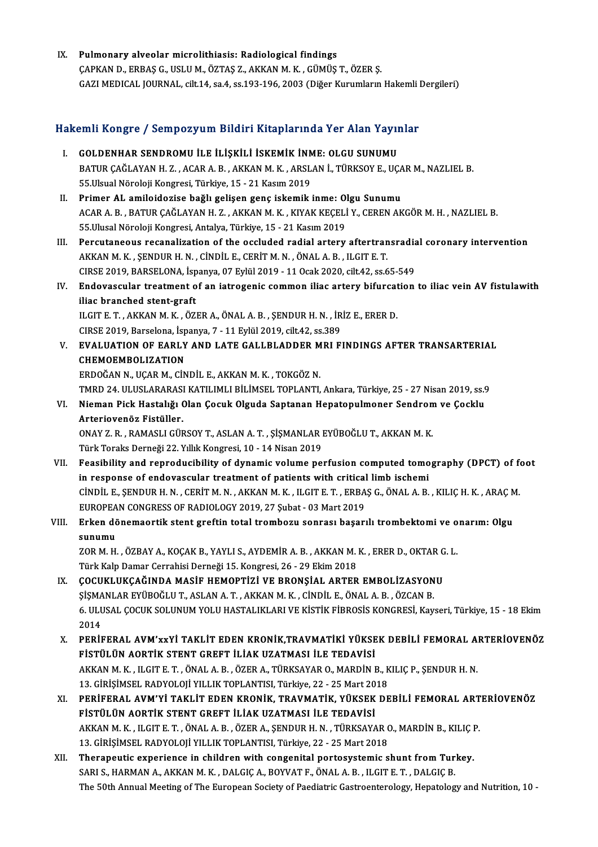IX. Pulmonary alveolar microlithiasis: Radiological findings ÇAPKAND.,ERBAŞG.,USLUM.,ÖZTAŞ Z.,AKKANM.K. ,GÜMÜŞT.,ÖZERŞ. GAZI MEDICAL JOURNAL, cilt.14, sa.4, ss.193-196, 2003 (Diğer Kurumların Hakemli Dergileri)

# uazı medical jooknal, ciit.14, sa.4, ss.193-196, 2003 (Diger Kurumiarın Hakemli<br>Hakemli Kongre / Sempozyum Bildiri Kitaplarında Yer Alan Yayınlar

akemli Kongre / Sempozyum Bildiri Kitaplarında Yer Alan Yayın<br>I. GOLDENHAR SENDROMU İLE İLİŞKİLİ İSKEMİK İNME: OLGU SUNUMU<br>PATUP CAĞLAYAN H.Z. AÇAR A. P. AKKAN M.K. ARSLAN İ. TÜRKSOY E. UÇ SATIT IRONGLO / SOMPOZYTAN SIRAHI INRAPIATINGA TOTINGAT TAYIMLI<br>GOLDENHAR SENDROMU İLE İLİŞKİLİ İSKEMİK İNME: OLGU SUNUMU<br>BATUR ÇAĞLAYAN H. Z. , ACAR A. B. , AKKAN M. K. , ARSLAN İ., TÜRKSOY E., UÇAR M., NAZLIEL B.<br>55 Have GOLDENHAR SENDROMU İLE İLİŞKİLİ İSKEMİK İNM<br>BATUR ÇAĞLAYAN H. Z. , ACAR A. B. , AKKAN M. K. , ARSL<br>55.Ulsual Nöroloji Kongresi, Türkiye, 15 - 21 Kasım 2019<br>Primar AL amilaidarisa bağlı galisan gana iskemik i BATUR ÇAĞLAYAN H. Z., ACAR A. B., AKKAN M. K., ARSLAN İ., TÜRKSOY E., UÇA<br>55.Ulsual Nöroloji Kongresi, Türkiye, 15 - 21 Kasım 2019<br>II. Primer AL amiloidozise bağlı gelişen genç iskemik inme: Olgu Sunumu<br>ACAR A B. PATUR CAĞ 55.Ulsual Nöroloji Kongresi, Türkiye, 15 - 21 Kasım 2019<br>Primer AL amiloidozise bağlı gelişen genç iskemik inme: Olgu Sunumu<br>ACAR A. B. , BATUR ÇAĞLAYAN H. Z. , AKKAN M. K. , KIYAK KEÇELİ Y., CEREN AKGÖR M. H. , NAZLIEL B. Primer AL amiloidozise bağlı gelişen genç iskemik inme: Ol<br>ACAR A. B., BATUR ÇAĞLAYAN H. Z., AKKAN M. K., KIYAK KEÇELİ<br>55.Ulusal Nöroloji Kongresi, Antalya, Türkiye, 15 - 21 Kasım 2019<br>Bersutaneeya resenalization of the es I I. ACAR A. B., BATUR ÇAĞLAYAN H. Z., AKKAN M. K., KIYAK KEÇELİ Y., CEREN AKGÖR M. H., NAZLIEL B.<br>55.Ulusal Nöroloji Kongresi, Antalya, Türkiye, 15 - 21 Kasım 2019<br>III. Percutaneous recanalization of the occluded radial a 55.Ulusal Nöroloji Kongresi, Antalya, Türkiye, 15 - 21 Kasım 2019<br>Percutaneous recanalization of the occluded radial artery aftertran<br>AKKAN M. K. , ŞENDUR H. N. , CİNDİL E., CERİT M. N. , ÖNAL A. B. , ILGIT E. T.<br>CIRSE 201 Percutaneous recanalization of the occluded radial artery aftertransradia<br>AKKAN M. K. , ŞENDUR H. N. , CİNDİL E., CERİT M. N. , ÖNAL A. B. , ILGIT E. T.<br>CIRSE 2019, BARSELONA, İspanya, 07 Eylül 2019 - 11 Ocak 2020, cilt.42 AKKAN M. K. , ŞENDUR H. N. , CİNDİL E., CERİT M. N. , ÖNAL A. B. , ILGIT E. T.<br>CIRSE 2019, BARSELONA, İspanya, 07 Eylül 2019 - 11 Ocak 2020, cilt.42, ss.65-549<br>IV. Endovascular treatment of an iatrogenic common iliac a CIRSE 2019, BARSELONA, İsp<br>Endovascular treatment o<br>iliac branched stent-graft<br>HCITE T. AVYANM V. ÖZ Endovascular treatment of an iatrogenic common iliac artery bifurcat<br>iliac branched stent-graft<br>ILGIT E. T. , AKKAN M. K. , ÖZER A., ÖNAL A. B. , ŞENDUR H. N. , İRİZ E., ERER D.<br>CIBSE 2010, Barsalana İspanya 7, , 11 Erlül iliac branched stent-graft<br>ILGIT E. T. , AKKAN M. K. , ÖZER A., ÖNAL A. B. , SENDUR H. N. , İRİZ E., ERER D. V. EVALUATION OF EARLY AND LATE GALLBLADDER MRI FINDINGS AFTER TRANSARTERIAL<br>CHEMOEMBOLIZATION CIRSE 2019, Barselona, İspanya, 7 - 11 Eylül 2019, cilt.42, ss.389 ERDOĞANN.,UÇARM.,CİNDİL E.,AKKANM.K. ,TOKGÖZN. CHEMOEMBOLIZATION<br>ERDOĞAN N., UÇAR M., CİNDİL E., AKKAN M. K. , TOKGÖZ N.<br>TMRD 24. ULUSLARARASI KATILIMLI BİLİMSEL TOPLANTI, Ankara, Türkiye, 25 - 27 Nisan 2019, ss.9<br>Niaman Bisk Hastalığı Olan Casuk Olsuda Santanan Hanata VI. Nieman Pick Hastalığı Olan Çocuk Olguda Saptanan Hepatopulmoner Sendromve Çocklu TMRD 24. ULUSLARARAS<br>Nieman Pick Hastalığı (<br>Arteriovenöz Fistüller.<br>ONAV 7. B. - BAMASLI CÜL Nieman Pick Hastalığı Olan Çocuk Olguda Saptanan Hepatopulmoner Sendron<br>Arteriovenöz Fistüller.<br>ONAY Z. R., RAMASLI GÜRSOY T., ASLAN A. T. , ŞİŞMANLAR EYÜBOĞLU T., AKKAN M. K.<br>Türk Toraka Derneği 22 Yıllık Kongresi 10, 14 Arteriovenöz Fistüller.<br>ONAY Z. R. , RAMASLI GÜRSOY T., ASLAN A. T. , ŞİŞMANLAR I<br>Türk Toraks Derneği 22. Yıllık Kongresi, 10 - 14 Nisan 2019<br>Fessibility and nonrodusibility of dynamis yoluma neı Türk Toraks Derneği 22. Yıllık Kongresi, 10 - 14 Nisan 2019<br>VII. Peasibility and reproducibility of dynamic volume perfusion computed tomography (DPCT) of foot Türk Toraks Derneği 22. Yıllık Kongresi, 10 - 14 Nisan 2019<br>Feasibility and reproducibility of dynamic volume perfusion computed tomo<br>in response of endovascular treatment of patients with critical limb ischemi<br>Cinniu E. S CİNDİL E., ŞENDUR H. N. , CERİT M. N. , AKKAN M. K. , ILGIT E. T. , ERBAŞ G., ÖNAL A. B. , KILIÇ H. K. , ARAÇ M.<br>EUROPEAN CONGRESS OF RADIOLOGY 2019, 27 Şubat - 03 Mart 2019 in response of endovascular treatment of patients with critical<br>CINDIL E., ŞENDUR H. N. , CERIT M. N. , AKKAN M. K. , ILGIT E. T. , ERBA<br>EUROPEAN CONGRESS OF RADIOLOGY 2019, 27 Şubat - 03 Mart 2019<br>Erkan dönemeertik stant CINDIL E., ŞENDUR H. N. , CERIT M. N. , AKKAN M. K. , ILGIT E. T. , ERBAŞ G., ÖNAL A. B. , KILIÇ H. K. , ARAÇ M<br>EUROPEAN CONGRESS OF RADIOLOGY 2019, 27 Şubat - 03 Mart 2019<br>VIII. Erken dönemaortik stent greftin total tromb EUROPEA<br><mark>Erken dö</mark><br>sunumu<br>70P M H Erken dönemaortik stent greftin total trombozu sonrası başarılı trombektomi ve o<br>sunumu<br>ZOR M. H. , ÖZBAY A., KOÇAK B., YAYLI S., AYDEMİR A. B. , AKKAN M. K. , ERER D., OKTAR G. L.<br>Türk Kalp Damar Carrabisi Darnaği 15 Kans S<mark>unumu</mark><br>ZOR M. H. , ÖZBAY A., KOÇAK B., YAYLI S., AYDEMİR A. B. , AKKAN M.<br>Türk Kalp Damar Cerrahisi Derneği 15. Kongresi, 26 - 29 Ekim 2018<br>COCUKLUKCAĞINDA MASİF HEMOPTİZİ VE PRONSLAL ARTER ZOR M. H. , ÖZBAY A., KOÇAK B., YAYLI S., AYDEMİR A. B. , AKKAN M. K. , ERER D., OKTAR G<br>Türk Kalp Damar Cerrahisi Derneği 15. Kongresi, 26 - 29 Ekim 2018<br>IX. GOCUKLUKÇAĞINDA MASİF HEMOPTİZİ VE BRONŞİAL ARTER EMBOLİZASYONU Türk Kalp Damar Cerrahisi Derneği 15. Kongresi, 26 - 29 Ekim 2018<br>IX. ÇOCUKLUKÇAĞINDA MASİF HEMOPTIZI VE BRONŞIAL ARTER EMBOLIZASYONU<br>ŞİŞMANLAR EYÜBOĞLU T., ASLAN A. T. , AKKAN M. K. , CİNDİL E., ÖNAL A. B. , ÖZCAN B. ÇOCUKLUKÇAĞINDA MASİF HEMOPTİZİ VE BRONŞİAL ARTER EMBOLİZASYONU<br>ŞİŞMANLAR EYÜBOĞLU T., ASLAN A. T. , AKKAN M. K. , CİNDİL E., ÖNAL A. B. , ÖZCAN B.<br>6. ULUSAL ÇOCUK SOLUNUM YOLU HASTALIKLARI VE KİSTİK FİBROSİS KONGRESİ, Kay SİŞMA<br>6. ULL<br>2014<br>PEPİL 6. ULUSAL ÇOCUK SOLUNUM YOLU HASTALIKLARI VE KİSTİK FİBROSİS KONGRESİ, Kayseri, Türkiye, 15 - 18 Ekim<br>2014<br>X. PERİFERAL AVM'xxYİ TAKLİT EDEN KRONİK,TRAVMATİKİ YÜKSEK DEBİLİ FEMORAL ARTERİOVENÖZ<br>EİSTİLI ÜN AQPTİK STENT CREE 2014<br>PERİFERAL AVM'xxYİ TAKLİT EDEN KRONİK,TRAVMATİKİ YÜKSE<br>FİSTÜLÜN AORTİK STENT GREFT İLİAK UZATMASI İLE TEDAVİSİ<br>AKKANM KULUCITE TUÖNALA BUÖZERA TÜRKSAYARO MARDINI X. PERİFERAL AVM'xxYİ TAKLİT EDEN KRONİK,TRAVMATİKİ YÜKSEK DEBİLİ FEMORAL ARTERİOVENÖZ<br>FİSTÜLÜN AORTİK STENT GREFT İLİAK UZATMASI İLE TEDAVİSI<br>AKKAN M. K., ILGIT E. T., ÖNAL A. B., ÖZER A., TÜRKSAYAR O., MARDİN B., KILIÇ P FİSTÜLÜN AORTİK STENT GREFT İLİAK UZATMASI İLE TEDAVİSİ<br>AKKAN M. K. , ILGIT E. T. , ÖNAL A. B. , ÖZER A., TÜRKSAYAR O., MARDİN B., K<br>13. GİRİŞİMSEL RADYOLOJİ YILLIK TOPLANTISI, Türkiye, 22 - 25 Mart 2018<br>PERİEFRAL AVM'YI T AKKAN M. K. , ILGIT E. T. , ÖNAL A. B. , ÖZER A., TÜRKSAYAR O., MARDİN B., KILIÇ P., ŞENDUR H. N.<br>13. GİRİŞİMSEL RADYOLOJİ YILLIK TOPLANTISI, Türkiye, 22 - 25 Mart 2018<br>XI. — PERİFERAL AVM'Yİ TAKLİT EDEN KRONİK, TRAVMATİK, 13. GİRİŞİMSEL RADYOLOJİ YILLIK TOPLANTISI, Türkiye, 22 - 25 Mart 20<br>PERİFERAL AVM'Yİ TAKLİT EDEN KRONİK, TRAVMATİK, YÜKSEK<br>FİSTÜLÜN AORTİK STENT GREFT İLİAK UZATMASI İLE TEDAVİSİ<br>AKKAN M.K., U.CITE T., ÖNAL A.B., ÖZER A. PERİFERAL AVM'Yİ TAKLİT EDEN KRONİK, TRAVMATİK, YÜKSEK DEBİLİ FEMORAL ART<br>FİSTÜLÜN AORTİK STENT GREFT İLİAK UZATMASI İLE TEDAVİSI<br>AKKAN M. K. , ILGIT E. T. , ÖNAL A. B. , ÖZER A., ŞENDUR H. N. , TÜRKSAYAR O., MARDİN B., KI FİSTÜLÜN AORTİK STENT GREFT İLİAK UZATMASI İLE TEDAVİSİ<br>AKKAN M. K. , ILGIT E. T. , ÖNAL A. B. , ÖZER A., ŞENDUR H. N. , TÜRKSAYAR (<br>13. GİRİŞİMSEL RADYOLOJİ YILLIK TOPLANTISI, Türkiye, 22 - 25 Mart 2018<br>Thereneutis euneri AKKAN M. K., ILGIT E. T., ÖNAL A. B., ÖZER A., ŞENDUR H. N., TÜRKSAYAR O., MARDİN B., KILIÇ I<br>13. GİRİŞİMSEL RADYOLOJİ YILLIK TOPLANTISI, Türkiye, 22 - 25 Mart 2018<br>XII. Therapeutic experience in children with congenital p 13. GİRİŞİMSEL RADYOLOJİ YILLIK TOPLANTISI, Türkiye, 22 - 25 Mart 2018<br>Therapeutic experience in children with congenital portosystemic shunt from Turkey.<br>SARI S., HARMAN A., AKKAN M. K. , DALGIÇ A., BOYVAT F., ÖNAL A. B.

The 50th Annual Meeting of The European Society of Paediatric Gastroenterology, Hepatology and Nutrition, 10 -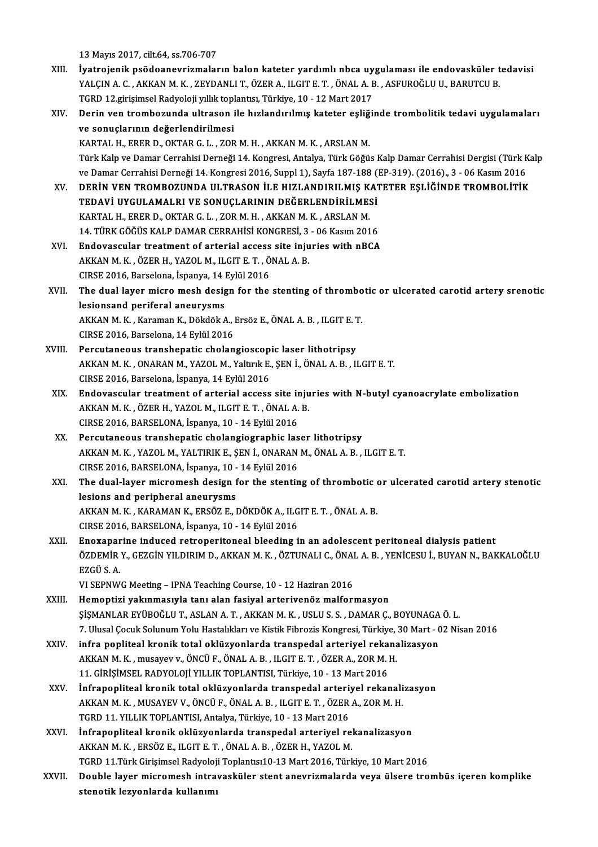13Mayıs2017, cilt.64, ss.706-707

- XI I. İyatrojenik psödoanevrizmaların balon kateter yardımlı nbca uygulaması ile endovasküler tedavisi 13 Mayıs 2017, cilt.64, ss.706-707<br>İyatrojenik psödoanevrizmaların balon kateter yardımlı nbca uygulaması ile endovasküler t<br>YALÇIN A. C. , AKKAN M. K. , ZEYDANLI T., ÖZER A., ILGIT E. T. , ÖNAL A. B. , ASFUROĞLU U., BARUT İyatrojenik psödoanevrizmaların balon kateter yardımlı nbca uy<br>YALÇIN A. C. , AKKAN M. K. , ZEYDANLI T., ÖZER A., ILGIT E. T. , ÖNAL A. E<br>TGRD 12.girişimsel Radyoloji yıllık toplantısı, Türkiye, 10 - 12 Mart 2017<br>Darin ven TGRD 12 girişimsel Radyoloji yıllık toplantısı, Türkiye, 10 - 12 Mart 2017
- XIV. Derin ven trombozunda ultrason ile hızlandırılmış kateter eşliğinde trombolitik tedavi uygulamaları KARTAL H., ERER D., OKTAR G. L., ZOR M. H., AKKAN M. K., ARSLAN M. Türk Kalp ve Damar Cerrahisi Derneği 14. Kongresi, Antalya, Türk Göğüs Kalp Damar Cerrahisi Dergisi (Türk Kalp KARTAL H., ERER D., OKTAR G. L. , ZOR M. H. , AKKAN M. K. , ARSLAN M.<br>Türk Kalp ve Damar Cerrahisi Derneği 14. Kongresi, Antalya, Türk Göğüs Kalp Damar Cerrahisi Dergisi (Türk K<br>ve Damar Cerrahisi Derneği 14. Kongresi 2016 Türk Kalp ve Damar Cerrahisi Derneği 14. Kongresi, Antalya, Türk Göğüs Kalp Damar Cerrahisi Dergisi (Türk Kate<br>1916 - ve Damar Cerrahisi Derneği 14. Kongresi 2016, Suppl 1), Sayfa 187-188 (EP-319). (2016)., 3 - 06 Kasım<br>20 ve Damar Cerrahisi Derneği 14. Kongresi 2016, Suppl 1), Sayfa 187-188 (<br>DERİN VEN TROMBOZUNDA ULTRASON İLE HIZLANDIRILMIŞ KAT<br>TEDAVİ UYGULAMALRI VE SONUÇLARININ DEĞERLENDİRİLMESİ<br>KARTAL HI ERER DI OKTAR GILI ZOR MIHI AKKAN DERİN VEN TROMBOZUNDA ULTRASON İLE HIZLANDIRILMIŞ K.<br>TEDAVİ UYGULAMALRI VE SONUÇLARININ DEĞERLENDİRİLME:<br>KARTAL H., ERER D., OKTAR G. L. , ZOR M. H. , AKKAN M. K. , ARSLAN M.<br>14. TÜPK GÖĞÜS KALP DAMAR GERRAHİSİ KONGRESİ 2. TEDAVİ UYGULAMALRI VE SONUÇLARININ DEĞERLENDİRİLMESİ<br>KARTAL H., ERER D., OKTAR G. L. , ZOR M. H. , AKKAN M. K. , ARSLAN M.<br>14. TÜRK GÖĞÜS KALP DAMAR CERRAHİSİ KONGRESİ, 3 - 06 Kasım 2016 XVI. Endovascular treatment of arterial access site injuries with nBCA 14. TÜRK GÖĞÜS KALP DAMAR CERRAHİSİ KONGRESİ, 3<br>Endovascular treatment of arterial access site inju<br>AKKAN M. K. , ÖZER H., YAZOL M., ILGIT E. T. , ÖNAL A. B.<br>CIBSE 2016, Barsalana İspanya, 14 Evlül 2016 Endovascular treatment of arterial access<br>AKKAN M. K., ÖZER H., YAZOL M., ILGIT E. T., Ö<br>CIRSE 2016, Barselona, İspanya, 14 Eylül 2016<br>The dual laver misre mesh desisn far the AKKAN M. K. , ÖZER H., YAZOL M., ILGIT E. T. , ÖNAL A. B.<br>CIRSE 2016, Barselona, İspanya, 14 Eylül 2016<br>XVII. The dual layer micro mesh design for the stenting of thrombotic or ulcerated carotid artery srenotic<br>logione CIRSE 2016, Barselona, İspanya, 14 l<br>The dual layer micro mesh desig<br>lesionsand periferal aneurysms The dual layer micro mesh design for the stenting of thrombo<br>lesionsand periferal aneurysms<br>AKKAN M. K. , Karaman K., Dökdök A., Ersöz E., ÖNAL A. B. , ILGIT E. T.<br>CIBSE 2016, Barsalana 14 Erlül 2016 lesionsand periferal aneurysms<br>AKKAN M. K., Karaman K., Dökdök A., Ersöz E., ÖNAL A. B., ILGIT E. T.<br>CIRSE 2016, Barselona, 14 Eylül 2016 AKKAN M. K., Karaman K., Dökdök A., Ersöz E., ÖNAL A. B., ILGIT E. 1<br>CIRSE 2016, Barselona, 14 Eylül 2016<br>XVIII. Percutaneous transhepatic cholangioscopic laser lithotripsy<br>AKKAN M. K. ONABAN M. VAZOL M. Valtruk E. SEN İ. AKKAN M. K. , ONARAN M., YAZOL M., Yaltırık E., ŞEN İ., ÖNAL A. B. , ILGIT E. T.<br>CIRSE 2016, Barselona, İspanya, 14 Eylül 2016 Percutaneous transhepatic cholangioscop<br>AKKAN M. K., ONARAN M., YAZOL M., Yaltırık E.<br>CIRSE 2016, Barselona, İspanya, 14 Eylül 2016<br>Endovascular trostment of artarial assess AKKAN M. K., ONARAN M., YAZOL M., Yaltırık E., ŞEN İ., ÖNAL A. B., ILGIT E. T.<br>CIRSE 2016, Barselona, İspanya, 14 Eylül 2016<br>XIX. Endovascular treatment of arterial access site injuries with N-butyl cyanoacrylate embol CIRSE 2016, Barselona, İspanya, 14 Eylül 2016<br>Endovascular treatment of arterial access site inju<br>AKKAN M. K. , ÖZER H., YAZOL M., ILGIT E. T. , ÖNAL A. B.<br>CIRSE 2016, RARSELONA, İspanya, 10, 14 Eylül 2016 Endovascular treatment of arterial access site in<br>AKKAN M. K. , ÖZER H., YAZOL M., ILGIT E. T. , ÖNAL A.<br>CIRSE 2016, BARSELONA, İspanya, 10 - 14 Eylül 2016<br>Persutaneous transbenatis shelangiasraphis les AKKAN M. K., ÖZER H., YAZOL M., ILGIT E. T., ÖNAL A. B.<br>CIRSE 2016, BARSELONA, İspanya, 10 - 14 Eylül 2016<br>XX. Percutaneous transhepatic cholangiographic laser lithotripsy AKKANM.K. ,YAZOLM.,YALTIRIKE.,ŞENİ.,ONARANM.,ÖNALA.B. , ILGITE.T. Percutaneous transhepatic cholangiographic las<br>AKKAN M. K. , YAZOL M., YALTIRIK E., ŞEN İ., ONARAN<br>CIRSE 2016, BARSELONA, İspanya, 10 - 14 Eylül 2016<br>The dual laver misromash design for the stantin XXI. The dual-layer micromesh design for the stenting of thrombotic or ulcerated carotid artery stenotic CIRSE 2016, BARSELONA, İspanya, 10 -<br>The dual-layer micromesh design f<br>lesions and peripheral aneurysms The dual-layer micromesh design for the stenting of thrombotic of<br>lesions and peripheral aneurysms<br>AKKAN M. K. , KARAMAN K., ERSÖZ E., DÖKDÖK A., ILGIT E. T. , ÖNAL A. B.<br>CIBSE 2016, BARSELONA, İspanya 10, 14 Evlül 2016 lesions and peripheral aneurysms<br>AKKAN M. K. , KARAMAN K., ERSÖZ E., DÖKDÖK A., ILG<br>CIRSE 2016, BARSELONA, İspanya, 10 - 14 Eylül 2016<br>Enevanenine indused retroneniteneal bloeding i XXI . AKKAN M. K., KARAMAN K., ERSÖZ E., DÖKDÖK A., ILGIT E. T. , ÖNAL A. B.<br>CIRSE 2016, BARSELONA, İspanya, 10 - 14 Eylül 2016<br>XXII. Enoxaparine induced retroperitoneal bleeding in an adolescent peritoneal dialysis patien CIRSE 2016, BARSELONA, İspanya, 10 - 14 Eylül 2016<br>Enoxaparine induced retroperitoneal bleeding in an adolescent peritoneal dialysis patient<br>ÖZDEMİR Y., GEZGİN YILDIRIM D., AKKAN M. K. , ÖZTUNALI C., ÖNAL A. B. , YENİCESU Enoxapar<br>ÖZDEMİR<br>EZGÜ S. A.<br>VI SEPNWA ÖZDEMİR Y., GEZGİN YILDIRIM D., AKKAN M. K. , ÖZTUNALI C., ÖNAL A. B. , YENİCESU İ., BUYAN N., BAKKALOĞLU<br>EZGÜ S. A.<br>VI SEPNWG Meeting – IPNA Teaching Course, 10 - 12 Haziran 2016 XXIII. Hemoptizi yakınmasıyla tanı alan fasiyal arterivenöz malformasyon VI SEPNWG Meeting – IPNA Teaching Course, 10 - 12 Haziran 2016<br>Hemoptizi yakınmasıyla tanı alan fasiyal arterivenöz malformasyon<br>ŞİŞMANLAR EYÜBOĞLU T., ASLAN A. T. , AKKAN M. K. , USLU S. S. , DAMAR Ç., BOYUNAGA Ö. L.<br>7 Hu Hemoptizi yakınmasıyla tanı alan fasiyal arterivenöz malformasyon<br>ŞİŞMANLAR EYÜBOĞLU T., ASLAN A. T. , AKKAN M. K. , USLU S. S. , DAMAR Ç., BOYUNAGA Ö. L.<br>7. Ulusal Çocuk Solunum Yolu Hastalıkları ve Kistik Fibrozis Kongre SİŞMANLAR EYÜBOĞLU T., ASLAN A. T. , AKKAN M. K. , USLU S. S. , DAMAR Ç., BOYUNAGA<br>7. Ulusal Çocuk Solunum Yolu Hastalıkları ve Kistik Fibrozis Kongresi, Türkiye, 30 Mart - C<br>XXIV. Infra popliteal kronik total oklüzyonlard 7. Ulusal Çocuk Solunum Yolu Hastalıkları ve Kistik Fibrozis Kongresi, Türkiye,<br>infra popliteal kronik total oklüzyonlarda transpedal arteriyel rekana<br>AKKAN M. K. , musayev v., ÖNCÜ F., ÖNAL A. B. , ILGIT E. T. , ÖZER A., infra popliteal kronik total oklüzyonlarda transpedal arteriyel reka<br>AKKAN M. K. , musayev v., ÖNCÜ F., ÖNAL A. B. , ILGIT E. T. , ÖZER A., ZOR M. l<br>11. GİRİŞİMSEL RADYOLOJİ YILLIK TOPLANTISI, Türkiye, 10 - 13 Mart 2016<br>İn AKKAN M. K., musayev v., ÖNCÜ F., ÖNAL A. B., ILGIT E. T., ÖZER A., ZOR M. H.<br>11. GİRİŞİMSEL RADYOLOJİ YILLIK TOPLANTISI, Türkiye, 10 - 13 Mart 2016<br>XXV. İnfrapopliteal kronik total oklüzyonlarda transpedal arteriyel rekan 11. GİRİŞİMSEL RADYOLOJİ YILLIK TOPLANTISI, Türkiye, 10 - 13 Mart 2016 İnfrapopliteal kronik total oklüzyonlarda transpedal arteri:<br>AKKAN M. K. , MUSAYEV V., ÖNCÜ F., ÖNAL A. B. , ILGIT E. T. , ÖZER<br>TGRD 11. YILLIK TOPLANTISI, Antalya, Türkiye, 10 - 13 Mart 2016<br>İnfranopliteal kronik oklüzyon AKKAN M. K., MUSAYEV V., ÖNCÜ F., ÖNAL A. B., ILGIT E. T., ÖZER A., ZOR M. H.<br>TGRD 11. YILLIK TOPLANTISI, Antalya, Türkiye, 10 - 13 Mart 2016<br>XXVI. İnfrapopliteal kronik oklüzyonlarda transpedal arteriyel rekanalizasyon<br>AK TGRD 11. YILLIK TOPLANTISI, Antalya, Türkiye, 10 - 13 Mart 2016<br>İnfrapopliteal kronik oklüzyonlarda transpedal arteriyel re<br>AKKAN M. K. , ERSÖZ E., ILGIT E. T. , ÖNAL A. B. , ÖZER H., YAZOL M.<br>TCPD 11 Türk Gürinmeal Badyol İnfrapopliteal kronik oklüzyonlarda transpedal arteriyel rekanalizasyon<br>AKKAN M. K. , ERSÖZ E., ILGIT E. T. , ÖNAL A. B. , ÖZER H., YAZOL M.<br>TGRD 11.Türk Girişimsel Radyoloji Toplantısı10-13 Mart 2016, Türkiye, 10 Mart 201 AKKAN M. K. , ERSÖZ E., ILGIT E. T. , ÖNAL A. B. , ÖZER H., YAZOL M.<br>TGRD 11.Türk Girişimsel Radyoloji Toplantısı10-13 Mart 2016, Türkiye, 10 Mart 2016<br>XXVII. Double layer micromesh intravasküler stent anevrizmalarda v TGRD 11.Türk Girişimsel Radyoloj<br>Double layer micromesh intra<br>stenotik lezyonlarda kullanımı